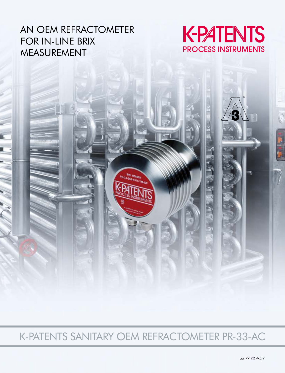### AN OEM REFRACTOMETER FOR IN-LINE BRIX MEASUREMENT



K-PATENTS SANITARY OEM REFRACTOMETER PR-33-AC

SIN: R08529<br>133-S62-F076-TM-GP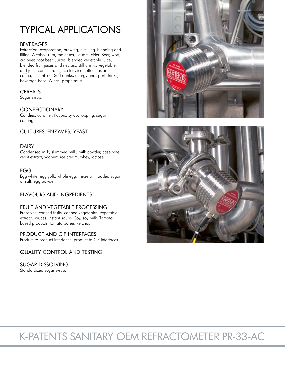# TYPICAL APPLICATIONS

### BEVERAGES

Extraction, evaporation, brewing, distilling, blending and filling. Alcohol, rum, molasses, liquors, cider. Beer, wort, cut beer, root beer. Juices, blended vegetable juice, blended fruit juices and nectars, still drinks, vegetable and juice concentrates, ice tea, ice coffee, instant coffee, instant tea. Soft drinks, energy and sport drinks, beverage base. Wines, grape must.

### **CEREALS**

Sugar syrup.

### **CONFECTIONARY**

Candies, caramel, flavors, syrup, topping, sugar coating.

### CULTURES, ENZYMES, YEAST

### DAIRY

Condensed milk, skimmed milk, milk powder, caseinate, yeast extract, yoghurt, ice cream, whey, lactose.

### EGG

Egg white, egg yolk, whole egg, mixes with added sugar or salt, egg powder.

### FLAVOURS AND INGREDIENTS

### FRUIT AND VEGETABLE PROCESSING

Preserves, canned fruits, canned vegetables, vegetable extract, sauces, instant soups. Soy, soy milk. Tomato based products, tomato puree, ketchup.

### PRODUCT AND CIP INTERFACES

Product to product interfaces, product to CIP interfaces.

### QUALITY CONTROL AND TESTING

### SUGAR DISSOLVING

Standardized sugar syrup.





# K-PATENTS SANITARY OEM REFRACTOMETER PR-33-AC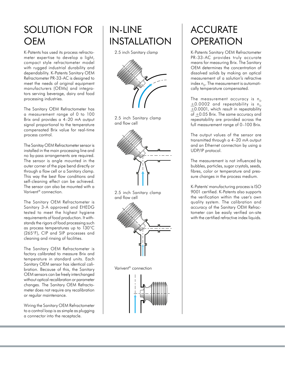# SOLUTION FOR **OFM**

K-Patents has used its process refractometer expertise to develop a light, compact style refractometer model with rugged industrial durability and dependability. K-Patents Sanitary OEM Refractometer PR-33-AC is designed to meet the needs of original equipment manufacturers (OEMs) and integrators serving beverage, dairy and food processing industries.

The Sanitary OEM Refractometer has a measurement range of 0 to 100 Brix and provides a 4–20 mA output signal proportional to the temperature compensated Brix value for real-time process control.

The Sanitay OEM Refractometer sensor is installed in the main processing line and no by-pass arrangements are required. The sensor is angle mounted in the outer corner of the pipe bend directly or through a flow cell or a Sanitary clamp. This way the best flow conditions and self-cleaning effect can be achieved. The sensor can also be mounted with a Varivent® connection.

The Sanitary OEM Refractometer is Sanitary 3-A approved and EHEDG tested to meet the highest hygiene requirements of food production. It withstands the rigors of food processing such as process temperatures up to 130°C (265°F), CIP and SIP processes and cleaning and rinsing of facilities.

The Sanitary OEM Refractometer is factory calibrated to measure Brix and temperature in standard units. Each Sanitary OEM sensor has identical calibration. Because of this, the Sanitary OEM sensors can be freely interchanged without optical recalibration or parameter changes. The Sanitary OEM Refractometer does not require any recalibration or regular maintenance.

Wiring the Sanitary OEM Refractometer to a control loop is as simple as plugging a connector into the receptacle.

## IN-LINE INSTALLATION

2.5 inch Sanitary clamp



2.5 inch Sanitary clamp and flow cell



2.5 inch Sanitary clamp and flow cell



Varivent® connection



# **ACCURATE OPERATION**

K-Patents Sanitary OEM Refractometer PR-33-AC provides truly accurate means for measuring Brix. The Sanitary OEM determines the concentration of dissolved solids by making an optical measurement of a solution's refractive index  $n_{\rm p}$ . The measurement is automatically temperature compensated.

The measurement accuracy is  $n_{\text{n}}$  $\pm$ 0.0002 and repeatability is n<sub>o</sub> +0.0001, which result in repeatability of +0.05 Brix. The same accuracy and repeatability are provided across the full measurement range of 0–100 Brix.

The output values of the sensor are transmitted through a 4–20 mA output and an Ethernet connection by using a UDP/IP protocol.

The measurement is not influenced by bubbles, particles, sugar crystals, seeds, fibres, color or temperature and pressure changes in the process medium.

K-Patents' manufacturing process is ISO 9001 certified. K-Patents also supports the verification within the user's own quality system. The calibration and accuracy of the Sanitary OEM Refractometer can be easily verified on-site with the certified refractive index liquids.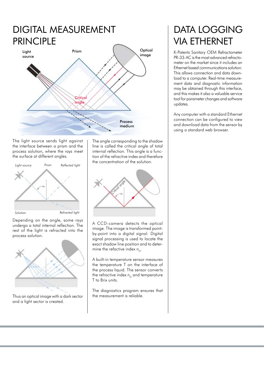# DIGITAL MEASUREMENT PRINCIPLE



The light source sends light against the interface between a prism and the process solution, where the rays meet the surface at different angles.



Depending on the angle, some rays undergo a total internal reflection. The rest of the light is refracted into the process solution.



Thus an optical image with a dark sector  $\parallel$  the measurement is reliable. and a light sector is created.

The angle corresponding to the shadow line is called the critical angle of total internal reflection. This angle is a function of the refractive index and therefore the concentration of the solution.



A CCD-camera detects the optical image. The image is transformed pointby-point into a digital signal. Digital signal processing is used to locate the exact shadow line position and to determine the refactive index  $n_{\rm p}$ .

A built-in temperature sensor measures the temperature T on the interface of the process liquid. The sensor converts the refractive index  $n<sub>p</sub>$  and temperature T to Brix units.

The diagnostics program ensures that

## DATA LOGGING VIA ETHERNET

K-Patents Sanitary OEM Refractometer PR-33-AC is the most advanced refractometer on the market since it includes an Ethernet based communications solution. This allows connection and data download to a computer. Real-time measurement data and diagnostic information may be obtained through this interface, and this makes it also a valuable service tool for parameter changes and software updates.

Any computer with a standard Ethernet connection can be configured to view and download data from the sensor by using a standard web browser.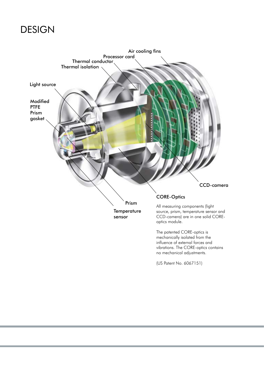# **DESIGN**